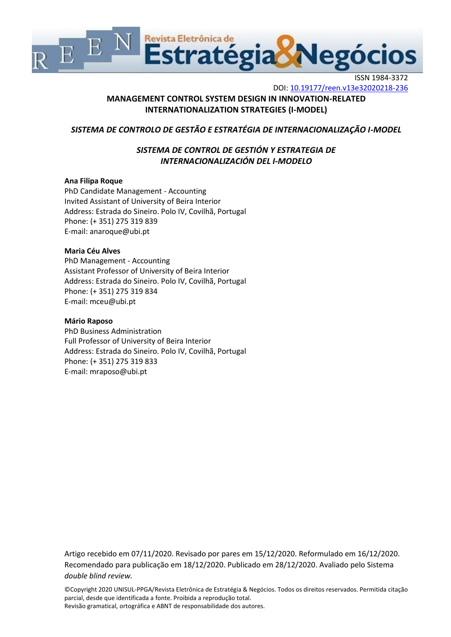

ISSN 1984-3372

DOI:<10.19177/reen.v13e32020218-236>

# **MANAGEMENT CONTROL SYSTEM DESIGN IN INNOVATION-RELATED INTERNATIONALIZATION STRATEGIES (I-MODEL)**

# *SISTEMA DE CONTROLO DE GESTÃO E ESTRATÉGIA DE INTERNACIONALIZAÇÃO I-MODEL*

# *SISTEMA DE CONTROL DE GESTIÓN Y ESTRATEGIA DE INTERNACIONALIZACIÓN DEL I-MODELO*

# **Ana Filipa Roque**

PhD Candidate Management - Accounting Invited Assistant of University of Beira Interior Address: Estrada do Sineiro. Polo IV, Covilhã, Portugal Phone: (+ 351) 275 319 839 E-mail: [anaroque@ubi.pt](mailto:anaroque@ubi.pt)

# **Maria Céu Alves**

PhD Management - Accounting Assistant Professor of University of Beira Interior Address: Estrada do Sineiro. Polo IV, Covilhã, Portugal Phone: (+ 351) 275 319 834 E-mail: [mceu@ubi.pt](mailto:mceu@ubi.pt)

## **Mário Raposo**

PhD Business Administration Full Professor of University of Beira Interior Address: Estrada do Sineiro. Polo IV, Covilhã, Portugal Phone: (+ 351) 275 319 833 E-mail: [mraposo@ubi.pt](mailto:mraposo@ubi.pt)

Artigo recebido em 07/11/2020. Revisado por pares em 15/12/2020. Reformulado em 16/12/2020. Recomendado para publicação em 18/12/2020. Publicado em 28/12/2020. Avaliado pelo Sistema *double blind review.*

©Copyright 2020 UNISUL-PPGA/Revista Eletrônica de Estratégia & Negócios. Todos os direitos reservados. Permitida citação parcial, desde que identificada a fonte. Proibida a reprodução total. Revisão gramatical, ortográfica e ABNT de responsabilidade dos autores.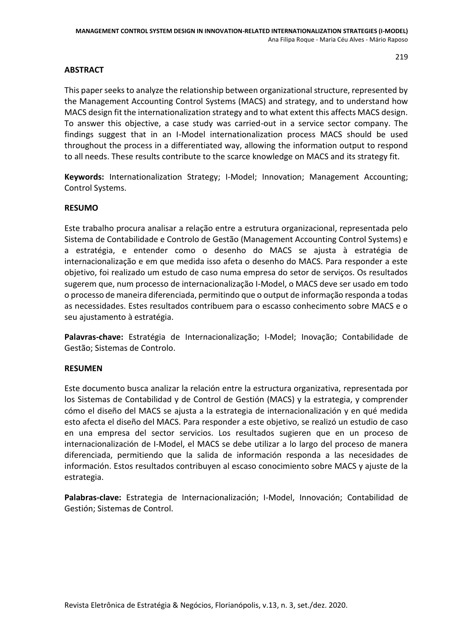# **ABSTRACT**

This paper seeks to analyze the relationship between organizational structure, represented by the Management Accounting Control Systems (MACS) and strategy, and to understand how MACS design fit the internationalization strategy and to what extent this affects MACS design. To answer this objective, a case study was carried-out in a service sector company. The findings suggest that in an I-Model internationalization process MACS should be used throughout the process in a differentiated way, allowing the information output to respond to all needs. These results contribute to the scarce knowledge on MACS and its strategy fit.

**Keywords:** Internationalization Strategy; I-Model; Innovation; Management Accounting; Control Systems.

# **RESUMO**

Este trabalho procura analisar a relação entre a estrutura organizacional, representada pelo Sistema de Contabilidade e Controlo de Gestão (Management Accounting Control Systems) e a estratégia, e entender como o desenho do MACS se ajusta à estratégia de internacionalização e em que medida isso afeta o desenho do MACS. Para responder a este objetivo, foi realizado um estudo de caso numa empresa do setor de serviços. Os resultados sugerem que, num processo de internacionalização I-Model, o MACS deve ser usado em todo o processo de maneira diferenciada, permitindo que o output de informação responda a todas as necessidades. Estes resultados contribuem para o escasso conhecimento sobre MACS e o seu ajustamento à estratégia.

**Palavras-chave:** Estratégia de Internacionalização; I-Model; Inovação; Contabilidade de Gestão; Sistemas de Controlo.

## **RESUMEN**

Este documento busca analizar la relación entre la estructura organizativa, representada por los Sistemas de Contabilidad y de Control de Gestión (MACS) y la estrategia, y comprender cómo el diseño del MACS se ajusta a la estrategia de internacionalización y en qué medida esto afecta el diseño del MACS. Para responder a este objetivo, se realizó un estudio de caso en una empresa del sector servicios. Los resultados sugieren que en un proceso de internacionalización de I-Model, el MACS se debe utilizar a lo largo del proceso de manera diferenciada, permitiendo que la salida de información responda a las necesidades de información. Estos resultados contribuyen al escaso conocimiento sobre MACS y ajuste de la estrategia.

**Palabras-clave:** Estrategia de Internacionalización; I-Model, Innovación; Contabilidad de Gestión; Sistemas de Control.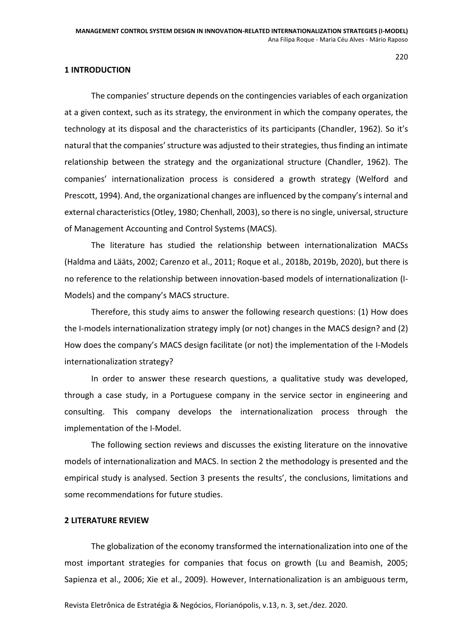#### **1 INTRODUCTION**

The companies' structure depends on the contingencies variables of each organization at a given context, such as its strategy, the environment in which the company operates, the technology at its disposal and the characteristics of its participants (Chandler, 1962). So it's natural that the companies' structure was adjusted to their strategies, thus finding an intimate relationship between the strategy and the organizational structure (Chandler, 1962). The companies' internationalization process is considered a growth strategy (Welford and Prescott, 1994). And, the organizational changes are influenced by the company's internal and external characteristics (Otley, 1980; Chenhall, 2003), so there is no single, universal, structure of Management Accounting and Control Systems (MACS).

The literature has studied the relationship between internationalization MACSs (Haldma and Lääts, 2002; Carenzo et al., 2011; Roque et al., 2018b, 2019b, 2020), but there is no reference to the relationship between innovation-based models of internationalization (I-Models) and the company's MACS structure.

Therefore, this study aims to answer the following research questions: (1) How does the I-models internationalization strategy imply (or not) changes in the MACS design? and (2) How does the company's MACS design facilitate (or not) the implementation of the I-Models internationalization strategy?

In order to answer these research questions, a qualitative study was developed, through a case study, in a Portuguese company in the service sector in engineering and consulting. This company develops the internationalization process through the implementation of the I-Model.

The following section reviews and discusses the existing literature on the innovative models of internationalization and MACS. In section 2 the methodology is presented and the empirical study is analysed. Section 3 presents the results', the conclusions, limitations and some recommendations for future studies.

# **2 LITERATURE REVIEW**

The globalization of the economy transformed the internationalization into one of the most important strategies for companies that focus on growth (Lu and Beamish, 2005; Sapienza et al., 2006; Xie et al., 2009). However, Internationalization is an ambiguous term,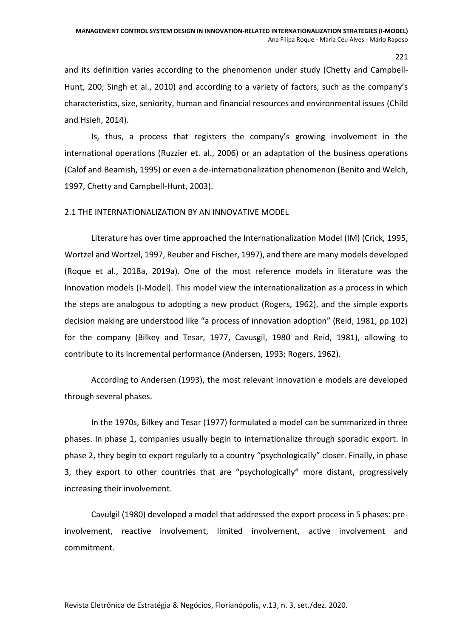and its definition varies according to the phenomenon under study (Chetty and Campbell-Hunt, 200; Singh et al., 2010) and according to a variety of factors, such as the company's characteristics, size, seniority, human and financial resources and environmental issues (Child and Hsieh, 2014).

Is, thus, a process that registers the company's growing involvement in the international operations (Ruzzier et. al., 2006) or an adaptation of the business operations (Calof and Beamish, 1995) or even a de-internationalization phenomenon (Benito and Welch, 1997, Chetty and Campbell-Hunt, 2003).

## 2.1 THE INTERNATIONALIZATION BY AN INNOVATIVE MODEL

Literature has over time approached the Internationalization Model (IM) (Crick, 1995, Wortzel and Wortzel, 1997, Reuber and Fischer, 1997), and there are many models developed (Roque et al., 2018a, 2019a). One of the most reference models in literature was the Innovation models (I-Model). This model view the internationalization as a process in which the steps are analogous to adopting a new product (Rogers, 1962), and the simple exports decision making are understood like "a process of innovation adoption" (Reid, 1981, pp.102) for the company (Bilkey and Tesar, 1977, Cavusgil, 1980 and Reid, 1981), allowing to contribute to its incremental performance (Andersen, 1993; Rogers, 1962).

According to Andersen (1993), the most relevant innovation e models are developed through several phases.

In the 1970s, Bilkey and Tesar (1977) formulated a model can be summarized in three phases. In phase 1, companies usually begin to internationalize through sporadic export. In phase 2, they begin to export regularly to a country "psychologically" closer. Finally, in phase 3, they export to other countries that are "psychologically" more distant, progressively increasing their involvement.

Cavulgil (1980) developed a model that addressed the export process in 5 phases: preinvolvement, reactive involvement, limited involvement, active involvement and commitment.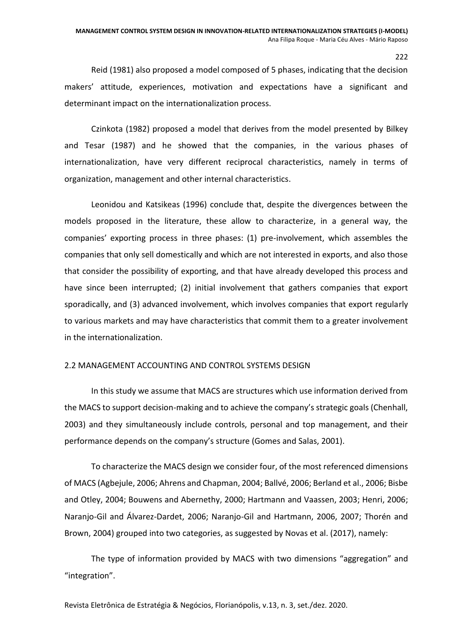Reid (1981) also proposed a model composed of 5 phases, indicating that the decision makers' attitude, experiences, motivation and expectations have a significant and determinant impact on the internationalization process.

Czinkota (1982) proposed a model that derives from the model presented by Bilkey and Tesar (1987) and he showed that the companies, in the various phases of internationalization, have very different reciprocal characteristics, namely in terms of organization, management and other internal characteristics.

Leonidou and Katsikeas (1996) conclude that, despite the divergences between the models proposed in the literature, these allow to characterize, in a general way, the companies' exporting process in three phases: (1) pre-involvement, which assembles the companies that only sell domestically and which are not interested in exports, and also those that consider the possibility of exporting, and that have already developed this process and have since been interrupted; (2) initial involvement that gathers companies that export sporadically, and (3) advanced involvement, which involves companies that export regularly to various markets and may have characteristics that commit them to a greater involvement in the internationalization.

## 2.2 MANAGEMENT ACCOUNTING AND CONTROL SYSTEMS DESIGN

In this study we assume that MACS are structures which use information derived from the MACS to support decision-making and to achieve the company's strategic goals (Chenhall, 2003) and they simultaneously include controls, personal and top management, and their performance depends on the company's structure (Gomes and Salas, 2001).

To characterize the MACS design we consider four, of the most referenced dimensions of MACS (Agbejule, 2006; Ahrens and Chapman, 2004; Ballvé, 2006; Berland et al., 2006; Bisbe and Otley, 2004; Bouwens and Abernethy, 2000; Hartmann and Vaassen, 2003; Henri, 2006; Naranjo-Gil and Álvarez-Dardet, 2006; Naranjo-Gil and Hartmann, 2006, 2007; Thorén and Brown, 2004) grouped into two categories, as suggested by Novas et al. (2017), namely:

The type of information provided by MACS with two dimensions "aggregation" and "integration".

Revista Eletrônica de Estratégia & Negócios, Florianópolis, v.13, n. 3, set./dez. 2020.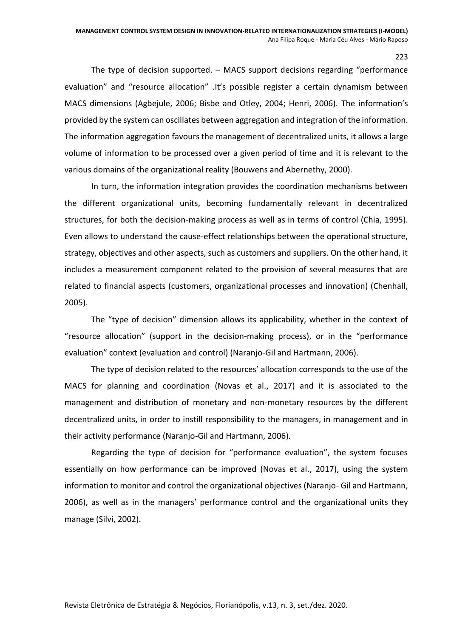The type of decision supported. – MACS support decisions regarding "performance evaluation" and "resource allocation" .It's possible register a certain dynamism between MACS dimensions (Agbejule, 2006; Bisbe and Otley, 2004; Henri, 2006). The information's provided by the system can oscillates between aggregation and integration of the information. The information aggregation favours the management of decentralized units, it allows a large volume of information to be processed over a given period of time and it is relevant to the various domains of the organizational reality (Bouwens and Abernethy, 2000).

In turn, the information integration provides the coordination mechanisms between the different organizational units, becoming fundamentally relevant in decentralized structures, for both the decision-making process as well as in terms of control (Chia, 1995). Even allows to understand the cause-effect relationships between the operational structure, strategy, objectives and other aspects, such as customers and suppliers. On the other hand, it includes a measurement component related to the provision of several measures that are related to financial aspects (customers, organizational processes and innovation) (Chenhall, 2005).

The "type of decision" dimension allows its applicability, whether in the context of "resource allocation" (support in the decision-making process), or in the "performance evaluation" context (evaluation and control) (Naranjo-Gil and Hartmann, 2006).

The type of decision related to the resources' allocation corresponds to the use of the MACS for planning and coordination (Novas et al., 2017) and it is associated to the management and distribution of monetary and non-monetary resources by the different decentralized units, in order to instill responsibility to the managers, in management and in their activity performance (Naranjo-Gil and Hartmann, 2006).

Regarding the type of decision for "performance evaluation", the system focuses essentially on how performance can be improved (Novas et al., 2017), using the system information to monitor and control the organizational objectives (Naranjo- Gil and Hartmann, 2006), as well as in the managers' performance control and the organizational units they manage (Silvi, 2002).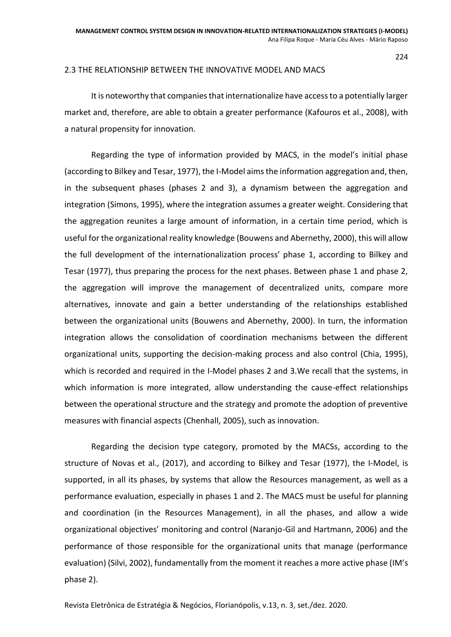#### 2.3 THE RELATIONSHIP BETWEEN THE INNOVATIVE MODEL AND MACS

It is noteworthy that companies that internationalize have access to a potentially larger market and, therefore, are able to obtain a greater performance (Kafouros et al., 2008), with a natural propensity for innovation.

Regarding the type of information provided by MACS, in the model's initial phase (according to Bilkey and Tesar, 1977), the I-Model aims the information aggregation and, then, in the subsequent phases (phases 2 and 3), a dynamism between the aggregation and integration (Simons, 1995), where the integration assumes a greater weight. Considering that the aggregation reunites a large amount of information, in a certain time period, which is useful for the organizational reality knowledge (Bouwens and Abernethy, 2000), this will allow the full development of the internationalization process' phase 1, according to Bilkey and Tesar (1977), thus preparing the process for the next phases. Between phase 1 and phase 2, the aggregation will improve the management of decentralized units, compare more alternatives, innovate and gain a better understanding of the relationships established between the organizational units (Bouwens and Abernethy, 2000). In turn, the information integration allows the consolidation of coordination mechanisms between the different organizational units, supporting the decision-making process and also control (Chia, 1995), which is recorded and required in the I-Model phases 2 and 3.We recall that the systems, in which information is more integrated, allow understanding the cause-effect relationships between the operational structure and the strategy and promote the adoption of preventive measures with financial aspects (Chenhall, 2005), such as innovation.

Regarding the decision type category, promoted by the MACSs, according to the structure of Novas et al., (2017), and according to Bilkey and Tesar (1977), the I-Model, is supported, in all its phases, by systems that allow the Resources management, as well as a performance evaluation, especially in phases 1 and 2. The MACS must be useful for planning and coordination (in the Resources Management), in all the phases, and allow a wide organizational objectives' monitoring and control (Naranjo-Gil and Hartmann, 2006) and the performance of those responsible for the organizational units that manage (performance evaluation) (Silvi, 2002), fundamentally from the moment it reaches a more active phase (IM's phase 2).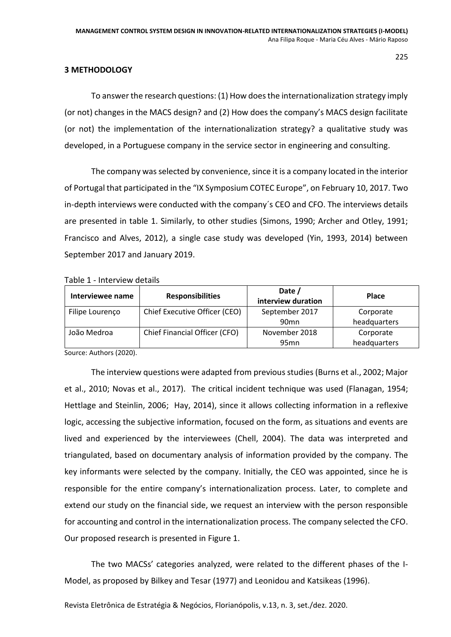## **3 METHODOLOGY**

To answer the research questions: (1) How does the internationalization strategy imply (or not) changes in the MACS design? and (2) How does the company's MACS design facilitate (or not) the implementation of the internationalization strategy? a qualitative study was developed, in a Portuguese company in the service sector in engineering and consulting.

The company was selected by convenience, since it is a company located in the interior of Portugal that participated in the "IX Symposium COTEC Europe", on February 10, 2017. Two in-depth interviews were conducted with the company´s CEO and CFO. The interviews details are presented in table 1. Similarly, to other studies (Simons, 1990; Archer and Otley, 1991; Francisco and Alves, 2012), a single case study was developed (Yin, 1993, 2014) between September 2017 and January 2019.

Table 1 - Interview details

| Interviewee name | <b>Responsibilities</b>       | Date /<br>interview duration | <b>Place</b> |
|------------------|-------------------------------|------------------------------|--------------|
| Filipe Lourenço  | Chief Executive Officer (CEO) | September 2017               | Corporate    |
|                  |                               | 90 <sub>mn</sub>             | headquarters |
| João Medroa      | Chief Financial Officer (CFO) | November 2018                | Corporate    |
|                  |                               | 95 <sub>mn</sub>             | headquarters |

Source: Authors (2020).

The interview questions were adapted from previous studies (Burns et al., 2002; Major et al., 2010; Novas et al., 2017). The critical incident technique was used (Flanagan, 1954; Hettlage and Steinlin, 2006; Hay, 2014), since it allows collecting information in a reflexive logic, accessing the subjective information, focused on the form, as situations and events are lived and experienced by the interviewees (Chell, 2004). The data was interpreted and triangulated, based on documentary analysis of information provided by the company. The key informants were selected by the company. Initially, the CEO was appointed, since he is responsible for the entire company's internationalization process. Later, to complete and extend our study on the financial side, we request an interview with the person responsible for accounting and control in the internationalization process. The company selected the CFO. Our proposed research is presented in Figure 1.

The two MACSs' categories analyzed, were related to the different phases of the I-Model, as proposed by Bilkey and Tesar (1977) and Leonidou and Katsikeas (1996).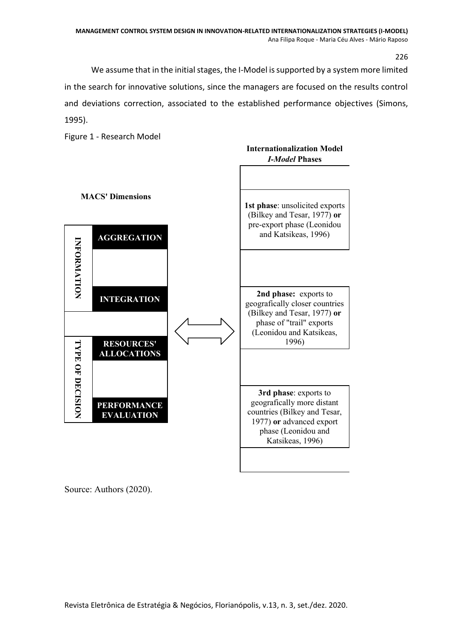We assume that in the initial stages, the I-Model is supported by a system more limited in the search for innovative solutions, since the managers are focused on the results control and deviations correction, associated to the established performance objectives (Simons, 1995).

Figure 1 - Research Model



Source: Authors (2020).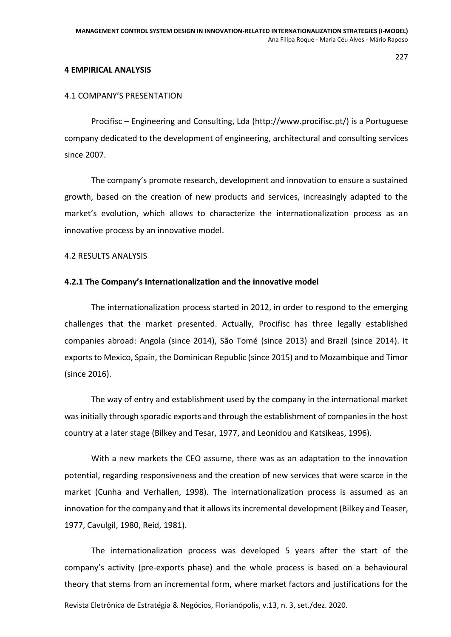#### **4 EMPIRICAL ANALYSIS**

### 4.1 COMPANY'S PRESENTATION

Procifisc – Engineering and Consulting, Lda (http://www.procifisc.pt/) is a Portuguese company dedicated to the development of engineering, architectural and consulting services since 2007.

The company's promote research, development and innovation to ensure a sustained growth, based on the creation of new products and services, increasingly adapted to the market's evolution, which allows to characterize the internationalization process as an innovative process by an innovative model.

#### 4.2 RESULTS ANALYSIS

#### **4.2.1 The Company's Internationalization and the innovative model**

The internationalization process started in 2012, in order to respond to the emerging challenges that the market presented. Actually, Procifisc has three legally established companies abroad: Angola (since 2014), São Tomé (since 2013) and Brazil (since 2014). It exports to Mexico, Spain, the Dominican Republic (since 2015) and to Mozambique and Timor (since 2016).

The way of entry and establishment used by the company in the international market was initially through sporadic exports and through the establishment of companies in the host country at a later stage (Bilkey and Tesar, 1977, and Leonidou and Katsikeas, 1996).

With a new markets the CEO assume, there was as an adaptation to the innovation potential, regarding responsiveness and the creation of new services that were scarce in the market (Cunha and Verhallen, 1998). The internationalization process is assumed as an innovation for the company and that it allows its incremental development (Bilkey and Teaser, 1977, Cavulgil, 1980, Reid, 1981).

Revista Eletrônica de Estratégia & Negócios, Florianópolis, v.13, n. 3, set./dez. 2020. The internationalization process was developed 5 years after the start of the company's activity (pre-exports phase) and the whole process is based on a behavioural theory that stems from an incremental form, where market factors and justifications for the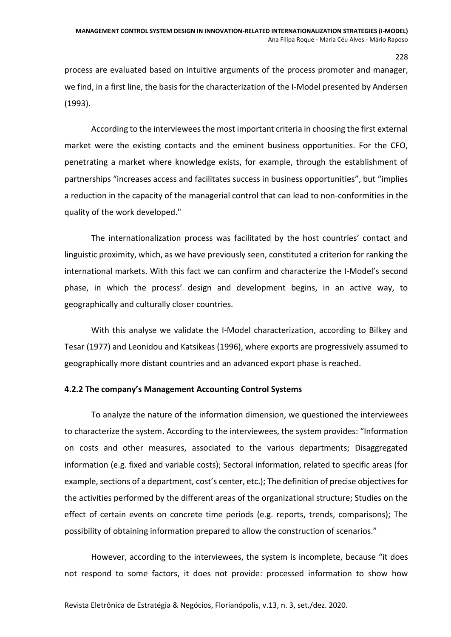process are evaluated based on intuitive arguments of the process promoter and manager, we find, in a first line, the basis for the characterization of the I-Model presented by Andersen (1993).

According to the interviewees the most important criteria in choosing the first external market were the existing contacts and the eminent business opportunities. For the CFO, penetrating a market where knowledge exists, for example, through the establishment of partnerships "increases access and facilitates success in business opportunities", but "implies a reduction in the capacity of the managerial control that can lead to non-conformities in the quality of the work developed."

The internationalization process was facilitated by the host countries' contact and linguistic proximity, which, as we have previously seen, constituted a criterion for ranking the international markets. With this fact we can confirm and characterize the I-Model's second phase, in which the process' design and development begins, in an active way, to geographically and culturally closer countries.

With this analyse we validate the I-Model characterization, according to Bilkey and Tesar (1977) and Leonidou and Katsikeas (1996), where exports are progressively assumed to geographically more distant countries and an advanced export phase is reached.

## **4.2.2 The company's Management Accounting Control Systems**

To analyze the nature of the information dimension, we questioned the interviewees to characterize the system. According to the interviewees, the system provides: "Information on costs and other measures, associated to the various departments; Disaggregated information (e.g. fixed and variable costs); Sectoral information, related to specific areas (for example, sections of a department, cost's center, etc.); The definition of precise objectives for the activities performed by the different areas of the organizational structure; Studies on the effect of certain events on concrete time periods (e.g. reports, trends, comparisons); The possibility of obtaining information prepared to allow the construction of scenarios."

However, according to the interviewees, the system is incomplete, because "it does not respond to some factors, it does not provide: processed information to show how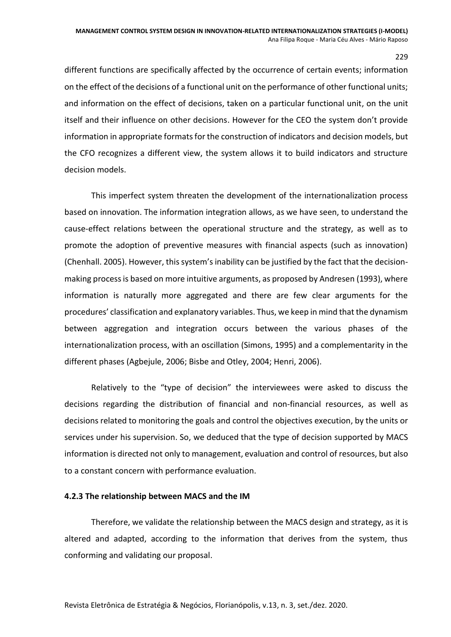229

different functions are specifically affected by the occurrence of certain events; information on the effect of the decisions of a functional unit on the performance of other functional units; and information on the effect of decisions, taken on a particular functional unit, on the unit itself and their influence on other decisions. However for the CEO the system don't provide information in appropriate formats for the construction of indicators and decision models, but the CFO recognizes a different view, the system allows it to build indicators and structure decision models.

This imperfect system threaten the development of the internationalization process based on innovation. The information integration allows, as we have seen, to understand the cause-effect relations between the operational structure and the strategy, as well as to promote the adoption of preventive measures with financial aspects (such as innovation) (Chenhall. 2005). However, this system's inability can be justified by the fact that the decisionmaking process is based on more intuitive arguments, as proposed by Andresen (1993), where information is naturally more aggregated and there are few clear arguments for the procedures' classification and explanatory variables. Thus, we keep in mind that the dynamism between aggregation and integration occurs between the various phases of the internationalization process, with an oscillation (Simons, 1995) and a complementarity in the different phases (Agbejule, 2006; Bisbe and Otley, 2004; Henri, 2006).

Relatively to the "type of decision" the interviewees were asked to discuss the decisions regarding the distribution of financial and non-financial resources, as well as decisions related to monitoring the goals and control the objectives execution, by the units or services under his supervision. So, we deduced that the type of decision supported by MACS information is directed not only to management, evaluation and control of resources, but also to a constant concern with performance evaluation.

## **4.2.3 The relationship between MACS and the IM**

Therefore, we validate the relationship between the MACS design and strategy, as it is altered and adapted, according to the information that derives from the system, thus conforming and validating our proposal.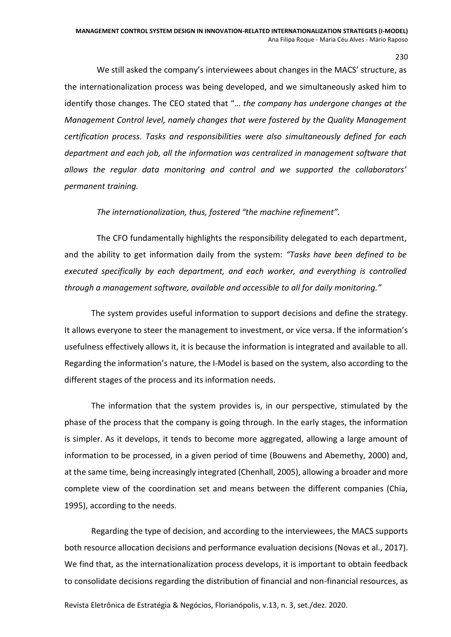230

We still asked the company's interviewees about changes in the MACS' structure, as the internationalization process was being developed, and we simultaneously asked him to identify those changes. The CEO stated that "… *the company has undergone changes at the Management Control level, namely changes that were fostered by the Quality Management certification process. Tasks and responsibilities were also simultaneously defined for each department and each job, all the information was centralized in management software that allows the regular data monitoring and control and we supported the collaborators' permanent training.*

*The internationalization, thus, fostered "the machine refinement".*

The CFO fundamentally highlights the responsibility delegated to each department, and the ability to get information daily from the system: *"Tasks have been defined to be executed specifically by each department, and each worker, and everything is controlled through a management software, available and accessible to all for daily monitoring."*

The system provides useful information to support decisions and define the strategy. It allows everyone to steer the management to investment, or vice versa. If the information's usefulness effectively allows it, it is because the information is integrated and available to all. Regarding the information's nature, the I-Model is based on the system, also according to the different stages of the process and its information needs.

The information that the system provides is, in our perspective, stimulated by the phase of the process that the company is going through. In the early stages, the information is simpler. As it develops, it tends to become more aggregated, allowing a large amount of information to be processed, in a given period of time (Bouwens and Abemethy, 2000) and, at the same time, being increasingly integrated (Chenhall, 2005), allowing a broader and more complete view of the coordination set and means between the different companies (Chia, 1995), according to the needs.

Regarding the type of decision, and according to the interviewees, the MACS supports both resource allocation decisions and performance evaluation decisions (Novas et al., 2017). We find that, as the internationalization process develops, it is important to obtain feedback to consolidate decisions regarding the distribution of financial and non-financial resources, as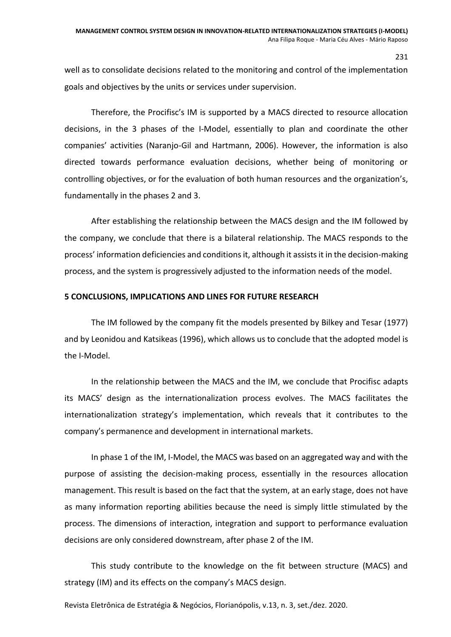well as to consolidate decisions related to the monitoring and control of the implementation goals and objectives by the units or services under supervision.

Therefore, the Procifisc's IM is supported by a MACS directed to resource allocation decisions, in the 3 phases of the I-Model, essentially to plan and coordinate the other companies' activities (Naranjo-Gil and Hartmann, 2006). However, the information is also directed towards performance evaluation decisions, whether being of monitoring or controlling objectives, or for the evaluation of both human resources and the organization's, fundamentally in the phases 2 and 3.

After establishing the relationship between the MACS design and the IM followed by the company, we conclude that there is a bilateral relationship. The MACS responds to the process' information deficiencies and conditions it, although it assists it in the decision-making process, and the system is progressively adjusted to the information needs of the model.

## **5 CONCLUSIONS, IMPLICATIONS AND LINES FOR FUTURE RESEARCH**

The IM followed by the company fit the models presented by Bilkey and Tesar (1977) and by Leonidou and Katsikeas (1996), which allows us to conclude that the adopted model is the I-Model.

In the relationship between the MACS and the IM, we conclude that Procifisc adapts its MACS' design as the internationalization process evolves. The MACS facilitates the internationalization strategy's implementation, which reveals that it contributes to the company's permanence and development in international markets.

In phase 1 of the IM, I-Model, the MACS was based on an aggregated way and with the purpose of assisting the decision-making process, essentially in the resources allocation management. This result is based on the fact that the system, at an early stage, does not have as many information reporting abilities because the need is simply little stimulated by the process. The dimensions of interaction, integration and support to performance evaluation decisions are only considered downstream, after phase 2 of the IM.

This study contribute to the knowledge on the fit between structure (MACS) and strategy (IM) and its effects on the company's MACS design.

Revista Eletrônica de Estratégia & Negócios, Florianópolis, v.13, n. 3, set./dez. 2020.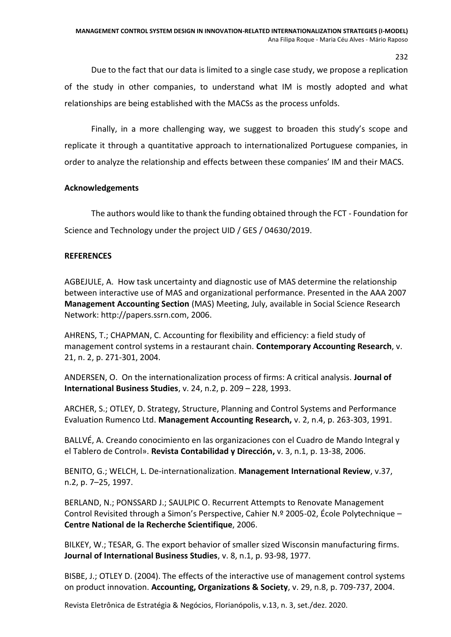Due to the fact that our data is limited to a single case study, we propose a replication of the study in other companies, to understand what IM is mostly adopted and what relationships are being established with the MACSs as the process unfolds.

Finally, in a more challenging way, we suggest to broaden this study's scope and replicate it through a quantitative approach to internationalized Portuguese companies, in order to analyze the relationship and effects between these companies' IM and their MACS.

# **Acknowledgements**

The authors would like to thank the funding obtained through the FCT - Foundation for Science and Technology under the project UID / GES / 04630/2019.

# **REFERENCES**

AGBEJULE, A. How task uncertainty and diagnostic use of MAS determine the relationship between interactive use of MAS and organizational performance. Presented in the AAA 2007 **Management Accounting Section** (MAS) Meeting, July, available in Social Science Research Network: [http://papers.ssrn.com,](http://papers.ssrn.com/) 2006.

AHRENS, T.; CHAPMAN, C. Accounting for flexibility and efficiency: a field study of management control systems in a restaurant chain. **Contemporary Accounting Research**, v. 21, n. 2, p. 271-301, 2004.

ANDERSEN, O. On the internationalization process of firms: A critical analysis. **Journal of International Business Studies**, v. 24, n.2, p. 209 – 228, 1993.

ARCHER, S.; OTLEY, D. Strategy, Structure, Planning and Control Systems and Performance Evaluation Rumenco Ltd. **Management Accounting Research,** v. 2, n.4, p. 263-303, 1991.

BALLVÉ, A. Creando conocimiento en las organizaciones con el Cuadro de Mando Integral y el Tablero de Control». **Revista Contabilidad y Dirección,** v. 3, n.1, p. 13-38, 2006.

BENITO, G.; WELCH, L. De-internationalization. **Management International Review**, v.37, n.2, p. 7–25, 1997.

BERLAND, N.; PONSSARD J.; SAULPIC O. Recurrent Attempts to Renovate Management Control Revisited through a Simon's Perspective, Cahier N.º 2005-02, École Polytechnique – **Centre National de la Recherche Scientifique**, 2006.

BILKEY, W.; TESAR, G. The export behavior of smaller sized Wisconsin manufacturing firms. **Journal of International Business Studies**, v. 8, n.1, p. 93-98, 1977.

BISBE, J.; OTLEY D. (2004). The effects of the interactive use of management control systems on product innovation. **Accounting, Organizations & Society**, v. 29, n.8, p. 709-737, 2004.

Revista Eletrônica de Estratégia & Negócios, Florianópolis, v.13, n. 3, set./dez. 2020.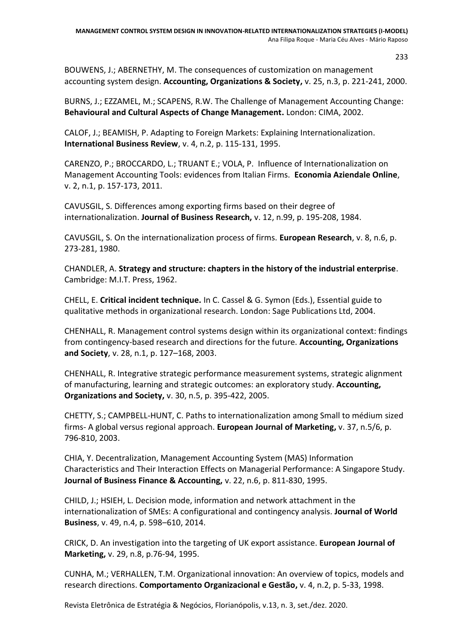BOUWENS, J.; ABERNETHY, M. The consequences of customization on management accounting system design. **Accounting, Organizations & Society,** v. 25, n.3, p. 221-241, 2000.

BURNS, J.; EZZAMEL, M.; SCAPENS, R.W. The Challenge of Management Accounting Change: **Behavioural and Cultural Aspects of Change Management.** London: CIMA, 2002.

CALOF, J.; BEAMISH, P. Adapting to Foreign Markets: Explaining Internationalization. **International Business Review**, v. 4, n.2, p. 115-131, 1995.

CARENZO, P.; BROCCARDO, L.; TRUANT E.; VOLA, P. Influence of Internationalization on Management Accounting Tools: evidences from Italian Firms. **Economia Aziendale Online**, v. 2, n.1, p. 157-173, 2011.

CAVUSGIL, S. Differences among exporting firms based on their degree of internationalization. **Journal of Business Research,** v. 12, n.99, p. 195-208, 1984.

CAVUSGIL, S. On the internationalization process of firms. **European Research**, v. 8, n.6, p. 273-281, 1980.

CHANDLER, A. **Strategy and structure: chapters in the history of the industrial enterprise**. Cambridge: M.I.T. Press, 1962.

CHELL, E. **Critical incident technique.** In C. Cassel & G. Symon (Eds.), Essential guide to qualitative methods in organizational research. London: Sage Publications Ltd, 2004.

CHENHALL, R. Management control systems design within its organizational context: findings from contingency-based research and directions for the future. **Accounting, Organizations and Society**, v. 28, n.1, p. 127–168, 2003.

CHENHALL, R. Integrative strategic performance measurement systems, strategic alignment of manufacturing, learning and strategic outcomes: an exploratory study. **Accounting, Organizations and Society,** v. 30, n.5, p. 395-422, 2005.

CHETTY, S.; CAMPBELL-HUNT, C. Paths to internationalization among Small to médium sized firms- A global versus regional approach. **European Journal of Marketing,** v. 37, n.5/6, p. 796-810, 2003.

CHIA, Y. Decentralization, Management Accounting System (MAS) Information Characteristics and Their Interaction Effects on Managerial Performance: A Singapore Study. **Journal of Business Finance & Accounting,** v. 22, n.6, p. 811-830, 1995.

CHILD, J.; HSIEH, L. Decision mode, information and network attachment in the internationalization of SMEs: A configurational and contingency analysis. **Journal of World Business**, v. 49, n.4, p. 598–610, 2014.

CRICK, D. An investigation into the targeting of UK export assistance. **European Journal of Marketing,** v. 29, n.8, p.76-94, 1995.

CUNHA, M.; VERHALLEN, T.M. Organizational innovation: An overview of topics, models and research directions. **Comportamento Organizacional e Gestão,** v. 4, n.2, p. 5-33, 1998.

Revista Eletrônica de Estratégia & Negócios, Florianópolis, v.13, n. 3, set./dez. 2020.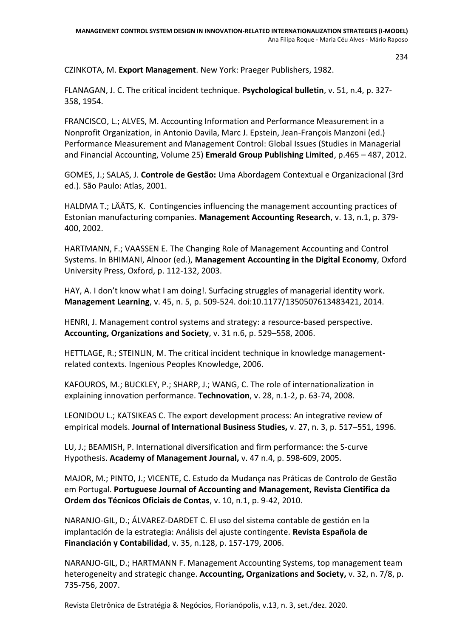CZINKOTA, M. **Export Management**. New York: Praeger Publishers, 1982.

FLANAGAN, J. C. The critical incident technique. **Psychological bulletin**, v. 51, n.4, p. 327- 358, 1954.

FRANCISCO, L.; ALVES, M. Accounting Information and Performance Measurement in a Nonprofit Organization, in Antonio Davila, Marc J. Epstein, Jean-François Manzoni (ed.) Performance Measurement and Management Control: Global Issues (Studies in Managerial and Financial Accounting, Volume 25) **Emerald Group Publishing Limited**, p.465 – 487, 2012.

GOMES, J.; SALAS, J. **Controle de Gestão:** Uma Abordagem Contextual e Organizacional (3rd ed.). São Paulo: Atlas, 2001.

HALDMA T.; LÄÄTS, K. Contingencies influencing the management accounting practices of Estonian manufacturing companies. **Management Accounting Research**, v. 13, n.1, p. 379- 400, 2002.

HARTMANN, F.; VAASSEN E. The Changing Role of Management Accounting and Control Systems. In BHIMANI, Alnoor (ed.), **Management Accounting in the Digital Economy**, Oxford University Press, Oxford, p. 112-132, 2003.

HAY, A. I don't know what I am doing!. Surfacing struggles of managerial identity work. **Management Learning**, v. 45, n. 5, p. 509-524. doi:10.1177/1350507613483421, 2014.

HENRI, J. Management control systems and strategy: a resource-based perspective. **Accounting, Organizations and Society**, v. 31 n.6, p. 529–558, 2006.

HETTLAGE, R.; STEINLIN, M. The critical incident technique in knowledge managementrelated contexts. Ingenious Peoples Knowledge, 2006.

KAFOUROS, M.; BUCKLEY, P.; SHARP, J.; WANG, C. The role of internationalization in explaining innovation performance. **Technovation**, v. 28, n.1-2, p. 63-74, 2008.

LEONIDOU L.; KATSIKEAS C. The export development process: An integrative review of empirical models. **Journal of International Business Studies,** v. 27, n. 3, p. 517–551, 1996.

LU, J.; BEAMISH, P. International diversification and firm performance: the S-curve Hypothesis. **Academy of Management Journal,** v. 47 n.4, p. 598-609, 2005.

MAJOR, M.; PINTO, J.; VICENTE, C. Estudo da Mudança nas Práticas de Controlo de Gestão em Portugal. **Portuguese Journal of Accounting and Management, Revista Cientifica da Ordem dos Técnicos Oficiais de Contas**, v. 10, n.1, p. 9-42, 2010.

NARANJO-GIL, D.; ÁLVAREZ-DARDET C. El uso del sistema contable de gestión en la implantación de la estrategia: Análisis del ajuste contingente. **Revista Española de Financiación y Contabilidad**, v. 35, n.128, p. 157-179, 2006.

NARANJO-GIL, D.; HARTMANN F. Management Accounting Systems, top management team heterogeneity and strategic change. **Accounting, Organizations and Society,** v. 32, n. 7/8, p. 735-756, 2007.

Revista Eletrônica de Estratégia & Negócios, Florianópolis, v.13, n. 3, set./dez. 2020.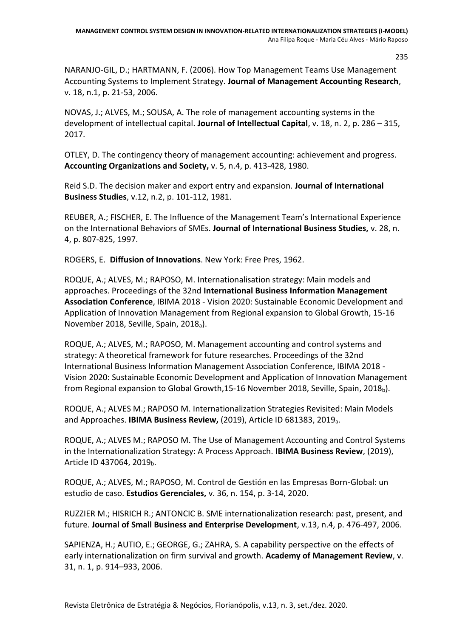235

NARANJO-GIL, D.; HARTMANN, F. (2006). How Top Management Teams Use Management Accounting Systems to Implement Strategy. **Journal of Management Accounting Research**, v. 18, n.1, p. 21-53, 2006.

NOVAS, J.; ALVES, M.; SOUSA, A. The role of management accounting systems in the development of intellectual capital. **Journal of Intellectual Capital**, v. 18, n. 2, p. 286 – 315, 2017.

OTLEY, D. The contingency theory of management accounting: achievement and progress. **Accounting Organizations and Society,** v. 5, n.4, p. 413-428, 1980.

Reid S.D. The decision maker and export entry and expansion. **Journal of International Business Studies**, v.12, n.2, p. 101-112, 1981.

REUBER, A.; FISCHER, E. The Influence of the Management Team's International Experience on the International Behaviors of SMEs. **Journal of International Business Studies,** v. 28, n. 4, p. 807-825, 1997.

ROGERS, E. **Diffusion of Innovations**. New York: Free Pres, 1962.

ROQUE, A.; ALVES, M.; RAPOSO, M. Internationalisation strategy: Main models and approaches. Proceedings of the 32nd **International Business Information Management Association Conference**, IBIMA 2018 - Vision 2020: Sustainable Economic Development and Application of Innovation Management from Regional expansion to Global Growth, 15-16 November 2018, Seville, Spain, 2018a).

ROQUE, A.; ALVES, M.; RAPOSO, M. Management accounting and control systems and strategy: A theoretical framework for future researches. Proceedings of the 32nd International Business Information Management Association Conference, IBIMA 2018 - Vision 2020: Sustainable Economic Development and Application of Innovation Management from Regional expansion to Global Growth, 15-16 November 2018, Seville, Spain, 2018 $_b$ ).

ROQUE, A.; ALVES M.; RAPOSO M. Internationalization Strategies Revisited: Main Models and Approaches. **IBIMA Business Review,** (2019), Article ID 681383, 2019a.

ROQUE, A.; ALVES M.; RAPOSO M. The Use of Management Accounting and Control Systems in the Internationalization Strategy: A Process Approach. **IBIMA Business Review**, (2019), Article ID 437064, 2019<sub>b</sub>.

ROQUE, A.; ALVES, M.; RAPOSO, M. Control de Gestión en las Empresas Born-Global: un estudio de caso. **Estudios Gerenciales,** v. 36, n. 154, p. 3-14, 2020.

RUZZIER M.; HISRICH R.; ANTONCIC B. SME internationalization research: past, present, and future. **Journal of Small Business and Enterprise Development**, v.13, n.4, p. 476-497, 2006.

SAPIENZA, H.; AUTIO, E.; GEORGE, G.; ZAHRA, S. A capability perspective on the effects of early internationalization on firm survival and growth. **Academy of Management Review**, v. 31, n. 1, p. 914–933, 2006.